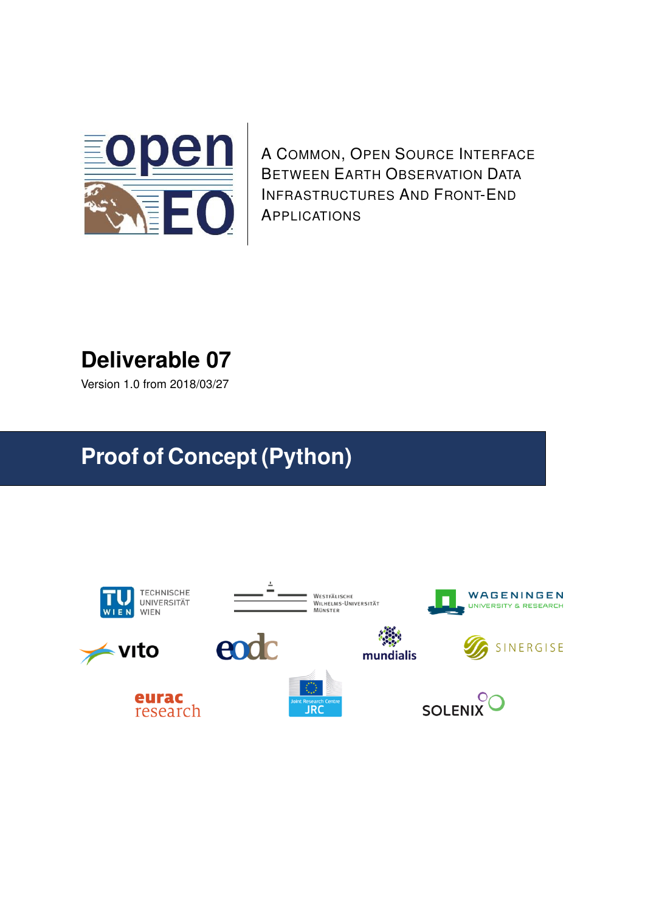

A COMMON, OPEN SOURCE INTERFACE BETWEEN EARTH OBSERVATION DATA INFRASTRUCTURES AND FRONT-END APPLICATIONS

# **Deliverable 07**

Version 1.0 from 2018/03/27

# **Proof of Concept (Python)**

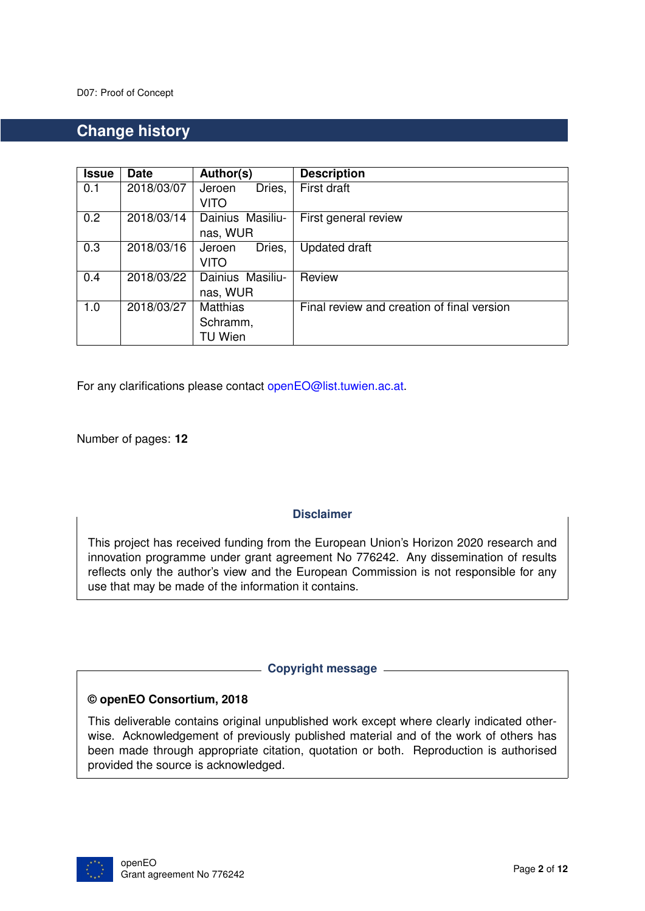### **Change history**

| <b>Issue</b> | <b>Date</b> | Author(s)        | <b>Description</b>                         |
|--------------|-------------|------------------|--------------------------------------------|
| 0.1          | 2018/03/07  | Dries,<br>Jeroen | First draft                                |
|              |             | <b>VITO</b>      |                                            |
| 0.2          | 2018/03/14  | Dainius Masiliu- | First general review                       |
|              |             | nas, WUR         |                                            |
| 0.3          | 2018/03/16  | Dries,<br>Jeroen | <b>Updated draft</b>                       |
|              |             | <b>VITO</b>      |                                            |
| 0.4          | 2018/03/22  | Dainius Masiliu- | Review                                     |
|              |             | nas, WUR         |                                            |
| 1.0          | 2018/03/27  | <b>Matthias</b>  | Final review and creation of final version |
|              |             | Schramm,         |                                            |
|              |             | TU Wien          |                                            |

For any clarifications please contact [openEO@list.tuwien.ac.at.](mailto:openEO@list.tuwien.ac.at)

Number of pages: **[12](#page-11-0)**

**Disclaimer**

This project has received funding from the European Union's Horizon 2020 research and innovation programme under grant agreement No 776242. Any dissemination of results reflects only the author's view and the European Commission is not responsible for any use that may be made of the information it contains.

**Copyright message**

#### **© openEO Consortium, 2018**

This deliverable contains original unpublished work except where clearly indicated otherwise. Acknowledgement of previously published material and of the work of others has been made through appropriate citation, quotation or both. Reproduction is authorised provided the source is acknowledged.

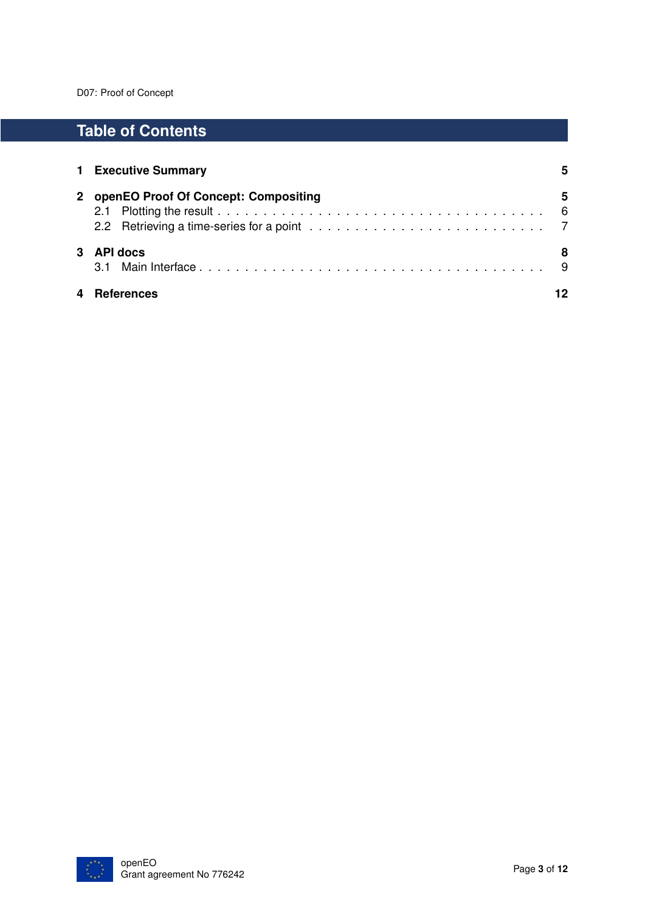## **Table of Contents**

|   | 1 Executive Summary                    |   |  |  |  |
|---|----------------------------------------|---|--|--|--|
|   | 2 openEO Proof Of Concept: Compositing | 5 |  |  |  |
| 3 | <b>API docs</b>                        |   |  |  |  |
|   | <b>References</b>                      |   |  |  |  |

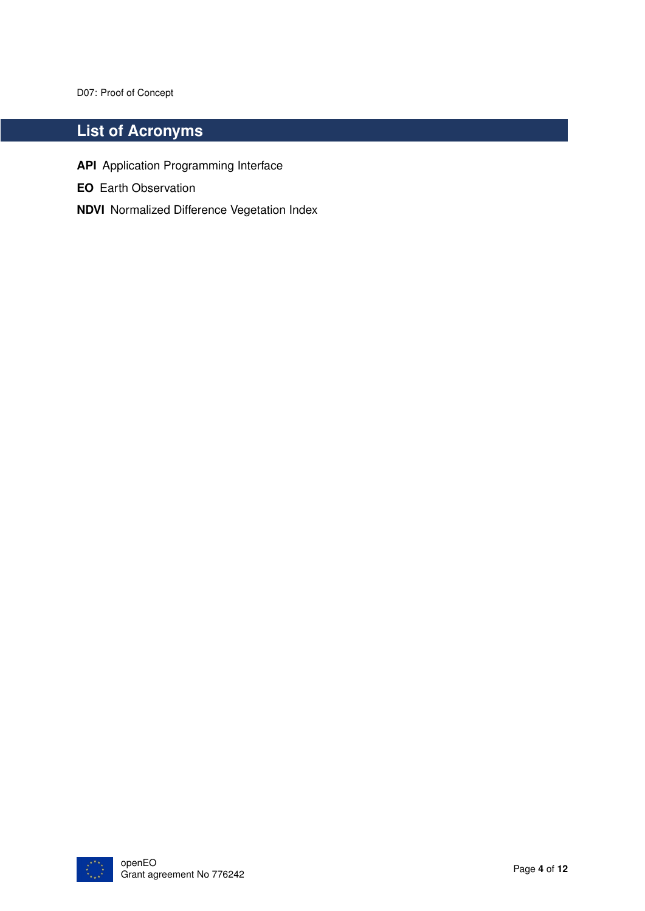## **List of Acronyms**

- **API** Application Programming Interface
- **EO** Earth Observation
- **NDVI** Normalized Difference Vegetation Index

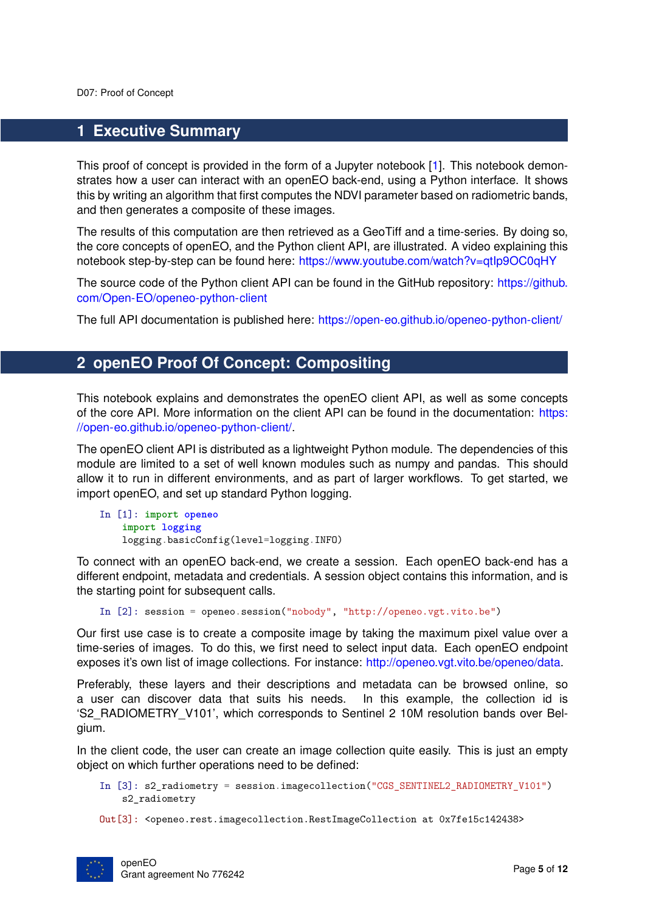#### <span id="page-4-0"></span>**1 Executive Summary**

This proof of concept is provided in the form of a Jupyter notebook [\[1\]](#page-11-2). This notebook demonstrates how a user can interact with an openEO back-end, using a Python interface. It shows this by writing an algorithm that first computes the NDVI parameter based on radiometric bands, and then generates a composite of these images.

The results of this computation are then retrieved as a GeoTiff and a time-series. By doing so, the core concepts of openEO, and the Python client API, are illustrated. A video explaining this notebook step-by-step can be found here: <https://www.youtube.com/watch?v=qtIp9OC0qHY>

The source code of the Python client API can be found in the GitHub repository: [https://github.](https://github.com/Open-EO/openeo-python-client) [com/Open-EO/openeo-python-client](https://github.com/Open-EO/openeo-python-client)

The full API documentation is published here: <https://open-eo.github.io/openeo-python-client/>

#### <span id="page-4-1"></span>**2 openEO Proof Of Concept: Compositing**

This notebook explains and demonstrates the openEO client API, as well as some concepts of the core API. More information on the client API can be found in the documentation: [https:](https://open-eo.github.io/openeo-python-client/) [//open-eo.github.io/openeo-python-client/.](https://open-eo.github.io/openeo-python-client/)

The openEO client API is distributed as a lightweight Python module. The dependencies of this module are limited to a set of well known modules such as numpy and pandas. This should allow it to run in different environments, and as part of larger workflows. To get started, we import openEO, and set up standard Python logging.

In [1]: **import openeo import logging** logging.basicConfig(level=logging.INFO)

To connect with an openEO back-end, we create a session. Each openEO back-end has a different endpoint, metadata and credentials. A session object contains this information, and is the starting point for subsequent calls.

In [2]: session = openeo.session("nobody", "http://openeo.vgt.vito.be")

Our first use case is to create a composite image by taking the maximum pixel value over a time-series of images. To do this, we first need to select input data. Each openEO endpoint exposes it's own list of image collections. For instance: [http://openeo.vgt.vito.be/openeo/data.](http://openeo.vgt.vito.be/openeo/data)

Preferably, these layers and their descriptions and metadata can be browsed online, so a user can discover data that suits his needs. In this example, the collection id is 'S2\_RADIOMETRY\_V101', which corresponds to Sentinel 2 10M resolution bands over Belgium.

In the client code, the user can create an image collection quite easily. This is just an empty object on which further operations need to be defined:

In [3]: s2\_radiometry = session.imagecollection("CGS\_SENTINEL2\_RADIOMETRY\_V101") s2\_radiometry

Out[3]: <openeo.rest.imagecollection.RestImageCollection at 0x7fe15c142438>

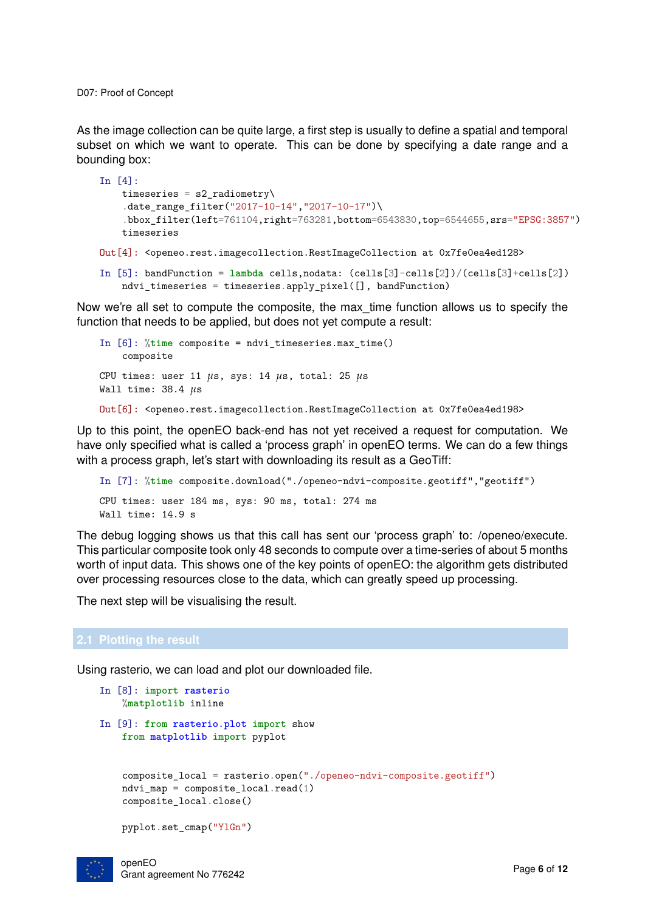As the image collection can be quite large, a first step is usually to define a spatial and temporal subset on which we want to operate. This can be done by specifying a date range and a bounding box:

```
In [4]:
   timeseries = s2_radiometry\
    .date_range_filter("2017-10-14","2017-10-17")\
    .bbox_filter(left=761104,right=763281,bottom=6543830,top=6544655,srs="EPSG:3857")
   timeseries
Out[4]: <openeo.rest.imagecollection.RestImageCollection at 0x7fe0ea4ed128>
In [5]: bandFunction = lambda cells,nodata: (cells[3]-cells[2])/(cells[3]+cells[2])
   ndvi_timeseries = timeseries.apply_pixel([], bandFunction)
```
Now we're all set to compute the composite, the max\_time function allows us to specify the function that needs to be applied, but does not yet compute a result:

```
In [6]: %time composite = ndvi_timeseries.max_time()
   composite
CPU times: user 11 µs, sys: 14 µs, total: 25 µs
Wall time: 38.4 µs
Out[6]: <openeo.rest.imagecollection.RestImageCollection at 0x7fe0ea4ed198>
```
Up to this point, the openEO back-end has not yet received a request for computation. We have only specified what is called a 'process graph' in openEO terms. We can do a few things with a process graph, let's start with downloading its result as a GeoTiff:

```
In [7]: %time composite.download("./openeo-ndvi-composite.geotiff","geotiff")
CPU times: user 184 ms, sys: 90 ms, total: 274 ms
Wall time: 14.9 s
```
The debug logging shows us that this call has sent our 'process graph' to: /openeo/execute. This particular composite took only 48 seconds to compute over a time-series of about 5 months worth of input data. This shows one of the key points of openEO: the algorithm gets distributed over processing resources close to the data, which can greatly speed up processing.

The next step will be visualising the result.

#### <span id="page-5-0"></span>**2.1 Plotting the result**

Using rasterio, we can load and plot our downloaded file.

```
In [8]: import rasterio
   %matplotlib inline
In [9]: from rasterio.plot import show
   from matplotlib import pyplot
    composite_local = rasterio.open("./openeo-ndvi-composite.geotiff")
   ndvi map = composite local.read(1)
    composite_local.close()
   pyplot.set_cmap("YlGn")
```
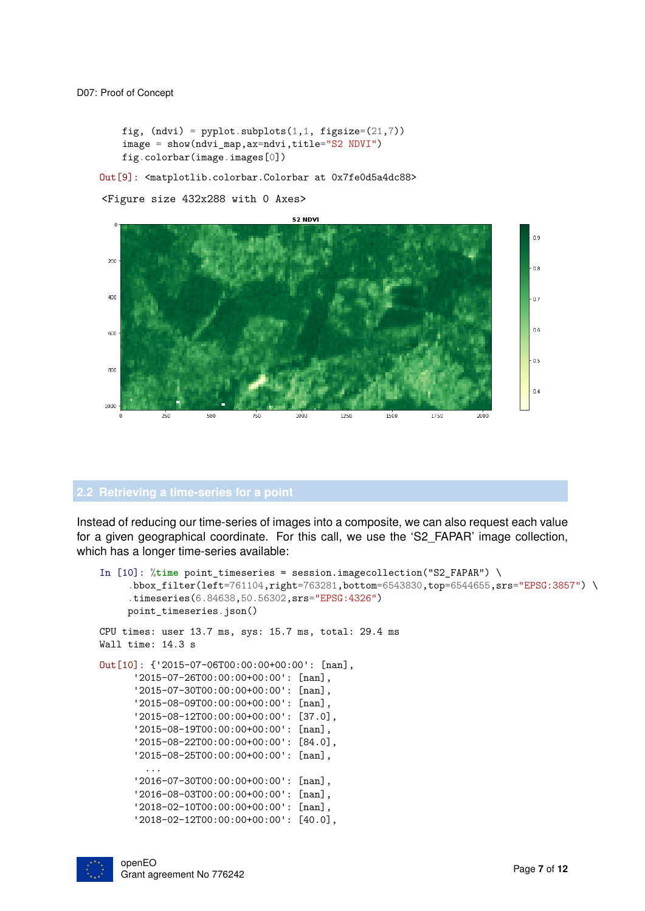```
fig, (ndvi) = pyplot.subplots(1,1, figsize=(21,7))image = show(ndvi_map,ax=ndvi,title="S2 NDVI")
fig.colorbar(image.images[0])
```
Out[9]: <matplotlib.colorbar.Colorbar at 0x7fe0d5a4dc88>

<Figure size 432x288 with 0 Axes>



<span id="page-6-0"></span>Instead of reducing our time-series of images into a composite, we can also request each value for a given geographical coordinate. For this call, we use the 'S2\_FAPAR' image collection, which has a longer time-series available:

```
In [10]: %time point_timeseries = session.imagecollection("S2_FAPAR") \
     .bbox_filter(left=761104,right=763281,bottom=6543830,top=6544655,srs="EPSG:3857") \
     .timeseries(6.84638,50.56302,srs="EPSG:4326")
    point_timeseries.json()
CPU times: user 13.7 ms, sys: 15.7 ms, total: 29.4 ms
Wall time: 14.3 s
Out[10]: {'2015-07-06T00:00:00+00:00': [nan],
      '2015-07-26T00:00:00+00:00': [nan],
      '2015-07-30T00:00:00+00:00': [nan],
      '2015-08-09T00:00:00+00:00': [nan],
      '2015-08-12T00:00:00+00:00': [37.0],
      '2015-08-19T00:00:00+00:00': [nan],
      '2015-08-22T00:00:00+00:00': [84.0],
      '2015-08-25T00:00:00+00:00': [nan],
        ...
      '2016-07-30T00:00:00+00:00': [nan],
      '2016-08-03T00:00:00+00:00': [nan],
      '2018-02-10T00:00:00+00:00': [nan],
      '2018-02-12T00:00:00+00:00': [40.0],
```
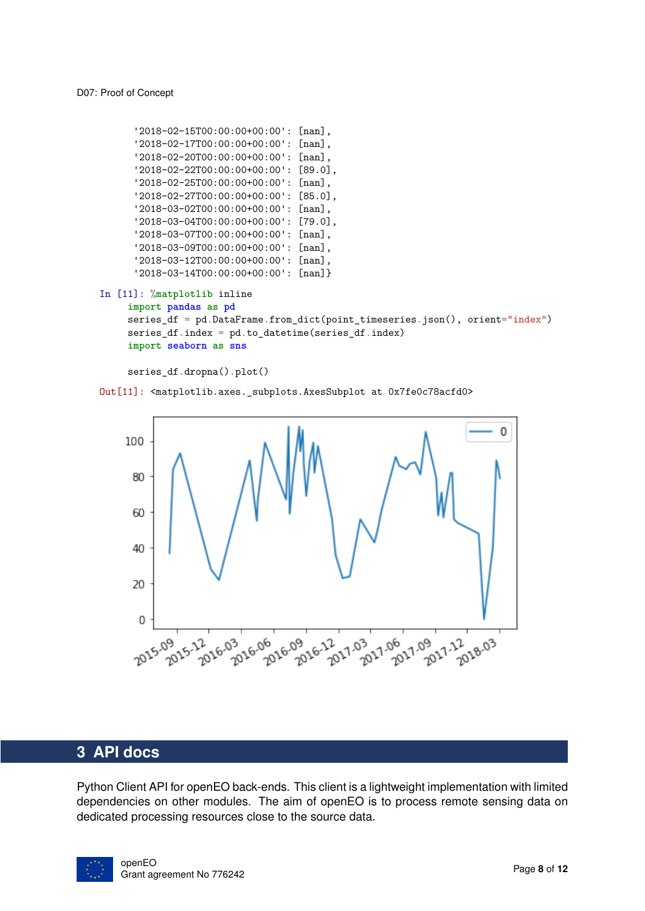```
'2018-02-15T00:00:00+00:00': [nan],
      '2018-02-17T00:00:00+00:00': [nan],
      '2018-02-20T00:00:00+00:00': [nan],
      '2018-02-22T00:00:00+00:00': [89.0],
      '2018-02-25T00:00:00+00:00': [nan],
      '2018-02-27T00:00:00+00:00': [85.0],
      '2018-03-02T00:00:00+00:00': [nan],
      '2018-03-04T00:00:00+00:00': [79.0],
      '2018-03-07T00:00:00+00:00': [nan],
      '2018-03-09T00:00:00+00:00': [nan],
      '2018-03-12T00:00:00+00:00': [nan],
      '2018-03-14T00:00:00+00:00': [nan]}
In [11]: %matplotlib inline
    import pandas as pd
    series_df = pd.DataFrame.from_dict(point_timeseries.json(), orient="index")
    series_df.index = pd.to_datetime(series_df.index)
    import seaborn as sns
```

```
series_df.dropna().plot()
```
Out[11]: <matplotlib.axes.\_subplots.AxesSubplot at 0x7fe0c78acfd0>



#### <span id="page-7-0"></span>**3 API docs**

Python Client API for openEO back-ends. This client is a lightweight implementation with limited dependencies on other modules. The aim of openEO is to process remote sensing data on dedicated processing resources close to the source data.

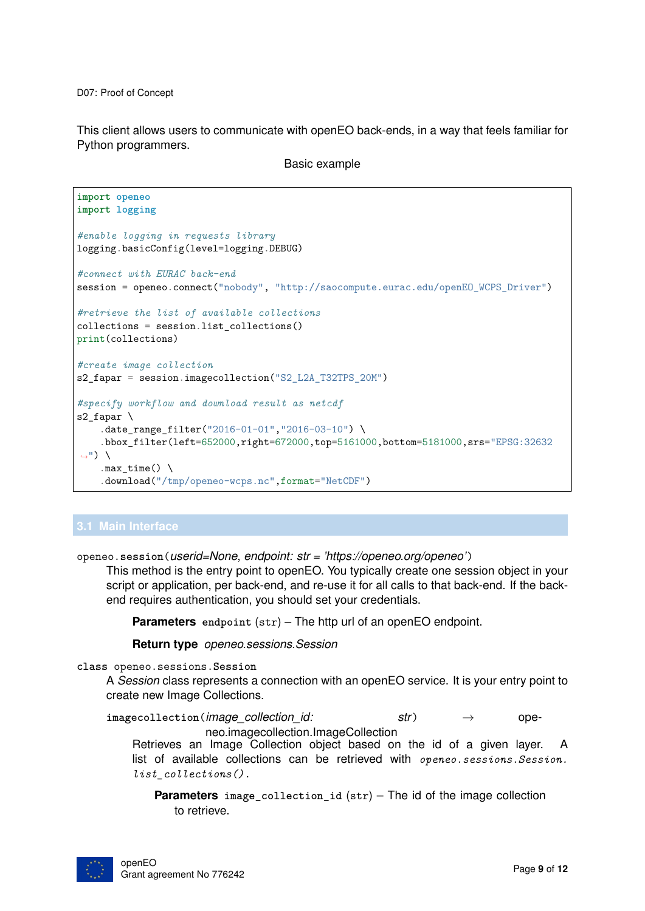This client allows users to communicate with openEO back-ends, in a way that feels familiar for Python programmers.

Basic example

```
import openeo
import logging
#enable logging in requests library
logging.basicConfig(level=logging.DEBUG)
#connect with EURAC back-end
session = openeo.connect("nobody", "http://saocompute.eurac.edu/openEO_WCPS_Driver")
#retrieve the list of available collections
collections = session.list_collections()
print(collections)
#create image collection
s2_fapar = session.imagecollection("S2_L2A_T32TPS_20M")
#specify workflow and download result as netcdf
s2 fapar \setminus.date_range_filter("2016-01-01","2016-03-10") \
    .bbox_filter(left=652000,right=672000,top=5161000,bottom=5181000,srs="EPSG:32632
\leftrightarrow") \
    .max time() \setminus.download("/tmp/openeo-wcps.nc",format="NetCDF")
```
#### <span id="page-8-0"></span>**3.1 Main Interface**

openeo.**session**(*userid=None*, *endpoint: str = 'https://openeo.org/openeo'*)

This method is the entry point to openEO. You typically create one session object in your script or application, per back-end, and re-use it for all calls to that back-end. If the backend requires authentication, you should set your credentials.

**Parameters** endpoint  $(str)$  – The http url of an openEO endpoint.

**Return type** *[openeo.sessions.Session](#page-8-1)*

<span id="page-8-1"></span>**class** openeo.sessions.**Session**

A *Session* class represents a connection with an openEO service. It is your entry point to create new Image Collections.

 $imageco1lection$ *(image collection id:* str)  $\rightarrow$  openeo.imagecollection.ImageCollection

Retrieves an Image Collection object based on the id of a given layer. A list of available collections can be retrieved with *[openeo.sessions.Session.](#page-9-0) [list\\_collections\(\)](#page-9-0)* .

**Parameters image\_collection\_id** (str) – The id of the image collection to retrieve.

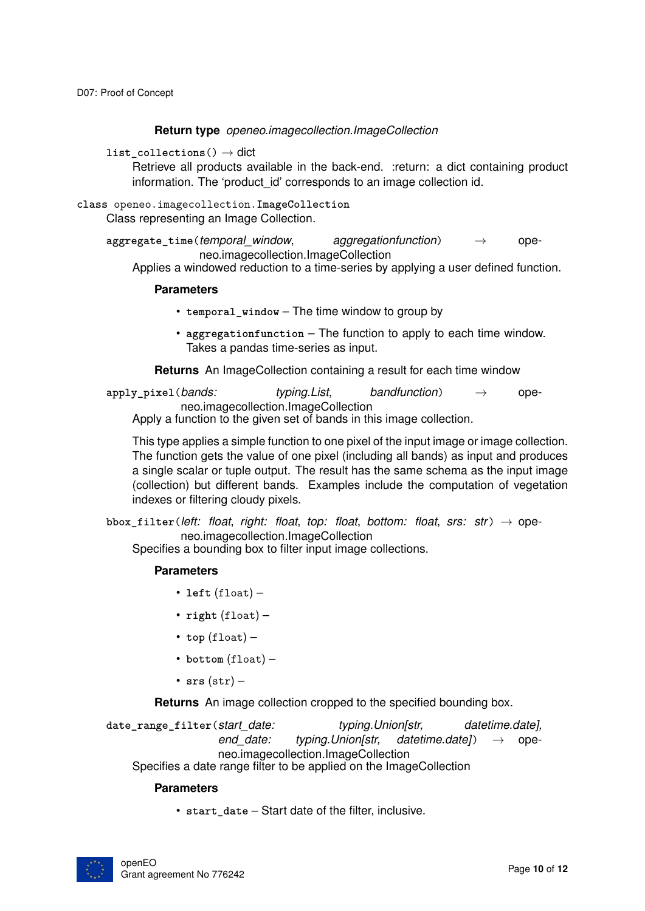#### **Return type** *[openeo.imagecollection.ImageCollection](#page-9-1)*

<span id="page-9-0"></span>**list\_collections**() → dict

Retrieve all products available in the back-end. :return: a dict containing product information. The 'product id' corresponds to an image collection id.

```
class openeo.imagecollection.ImageCollection
     Class representing an Image Collection.
```
**aggregate\_time**(*temporal\_window*, *aggregationfunction*) → openeo.imagecollection.ImageCollection

Applies a windowed reduction to a time-series by applying a user defined function.

#### **Parameters**

- **temporal\_window** The time window to group by
- **aggregationfunction** The function to apply to each time window. Takes a pandas time-series as input.

**Returns** An ImageCollection containing a result for each time window

**apply\_pixel**(*bands: typing.List*, *bandfunction*) → openeo.imagecollection.ImageCollection Apply a function to the given set of bands in this image collection.

This type applies a simple function to one pixel of the input image or image collection. The function gets the value of one pixel (including all bands) as input and produces

a single scalar or tuple output. The result has the same schema as the input image (collection) but different bands. Examples include the computation of vegetation indexes or filtering cloudy pixels.

**bbox\_filter**(*left: float*, *right: float*, *top: float*, *bottom: float*, *srs: str*) → openeo.imagecollection.ImageCollection

Specifies a bounding box to filter input image collections.

#### **Parameters**

- **left** (float) –
- **right** (float) –
- $\cdot$  top (float) -
- **bottom** (float) –
- **srs** (str) –

**Returns** An image collection cropped to the specified bounding box.

**date\_range\_filter**(*start\_date: typing.Union[str, datetime.date], end date: typing.Union[str, datetime.date]*) → openeo.imagecollection.ImageCollection Specifies a date range filter to be applied on the ImageCollection

#### **Parameters**

• **start\_date** – Start date of the filter, inclusive.

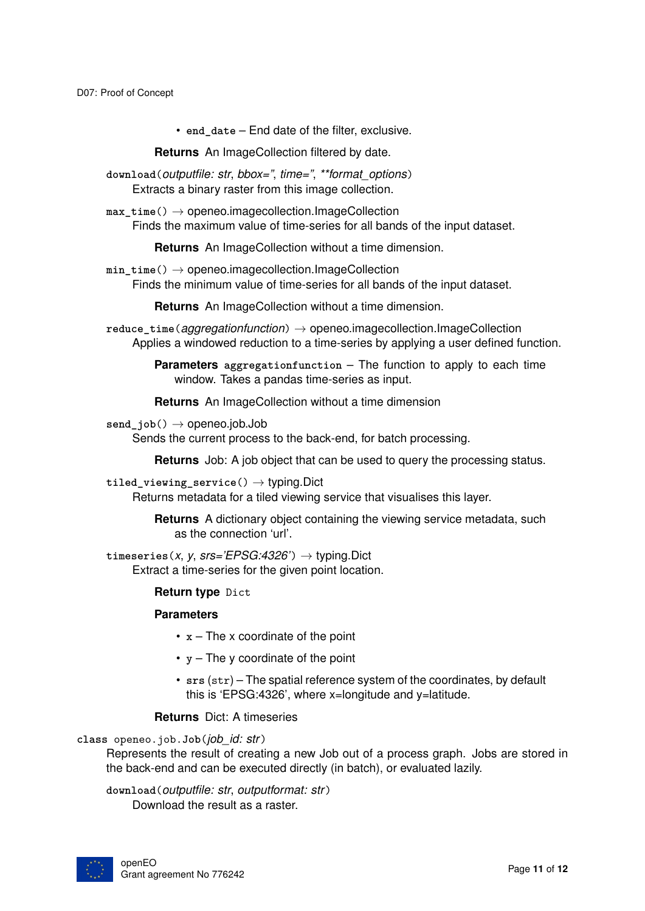• **end\_date** – End date of the filter, exclusive.

**Returns** An ImageCollection filtered by date.

**download**(*outputfile: str*, *bbox="*, *time="*, *\*\*format\_options*) Extracts a binary raster from this image collection.

max time() → openeo.imagecollection.ImageCollection Finds the maximum value of time-series for all bands of the input dataset.

**Returns** An ImageCollection without a time dimension.

**min\_time**() → openeo.imagecollection.ImageCollection Finds the minimum value of time-series for all bands of the input dataset.

**Returns** An ImageCollection without a time dimension.

**reduce\_time**(*aggregationfunction*) → openeo.imagecollection.ImageCollection Applies a windowed reduction to a time-series by applying a user defined function.

> **Parameters aggregationfunction** – The function to apply to each time window. Takes a pandas time-series as input.

**Returns** An ImageCollection without a time dimension

 $send$   $job()$   $\rightarrow$  openeo.job.Job

Sends the current process to the back-end, for batch processing.

**Returns** Job: A job object that can be used to query the processing status.

#### **tiled\_viewing\_service**() → typing.Dict

Returns metadata for a tiled viewing service that visualises this layer.

**Returns** A dictionary object containing the viewing service metadata, such as the connection 'url'.

 $t$ imeseries(*x*, *y*, *srs='EPSG:4326'*)  $\rightarrow$  typing.Dict Extract a time-series for the given point location.

#### **Return type** Dict

#### **Parameters**

- **x** The x coordinate of the point
- **y** The y coordinate of the point
- **srs** (str) The spatial reference system of the coordinates, by default this is 'EPSG:4326', where x=longitude and y=latitude.

#### **Returns** Dict: A timeseries

**class** openeo.job.**Job**(*job\_id: str*)

Represents the result of creating a new Job out of a process graph. Jobs are stored in the back-end and can be executed directly (in batch), or evaluated lazily.

**download**(*outputfile: str*, *outputformat: str*)

Download the result as a raster.